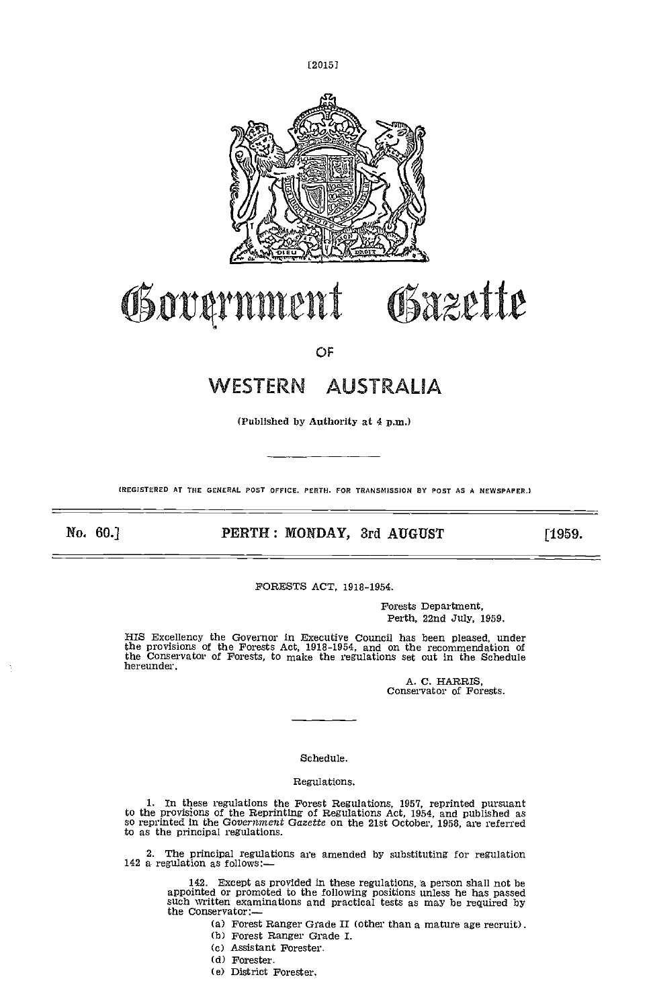t20151



# Government Gazette

OF

## WESTERN AUSTRALIA

(Published by Authority at 4 p.m.)

(REGISTERED AT THE GENERAL POST OFFICE. PERTH. FOR TRANSMISSION BY POST AS A NEWSPAPER.)

No. 60.] **PERTH: MONDAY, 3rd AUGUST** [1959.

FORESTS ACT, 1918-1954.

Forests Department, Perth, 22nd July, 1959.

HIS Excellency the Governor in Executive Council has been pleased, under the provisions of the Forests Act, 1918-1954, and on the recommendation of the Conservator of Forests, to make the regulations set out in the Schedule hereunder.

A. C. HARRIS, Conservator of Forests.

#### Schedule.

#### Regulations.

In these regulations the Forest Regulations, 1957, reprinted pursuant to the provisions of the Reprinting of Regulations Act, 1954, and published as so reprinted in the Government Gazette on the 21st October, 1958, are referred to as the principal regulations.

2. The principal regulations are amended by substituting for regulation 142 a regulation as follows:-

142. Except as provided in these regulations, a person shall not be appointed or promoted to the following positions unless he has passed such written examinations and practical tests as may be required by the Conservator:—

Forest Ranger Grade II (other than a mature age recruit). Forest Ranger Grade I.

- 
- (C) Assistant Forester.
- (d) Forester.
- (e) District Forester.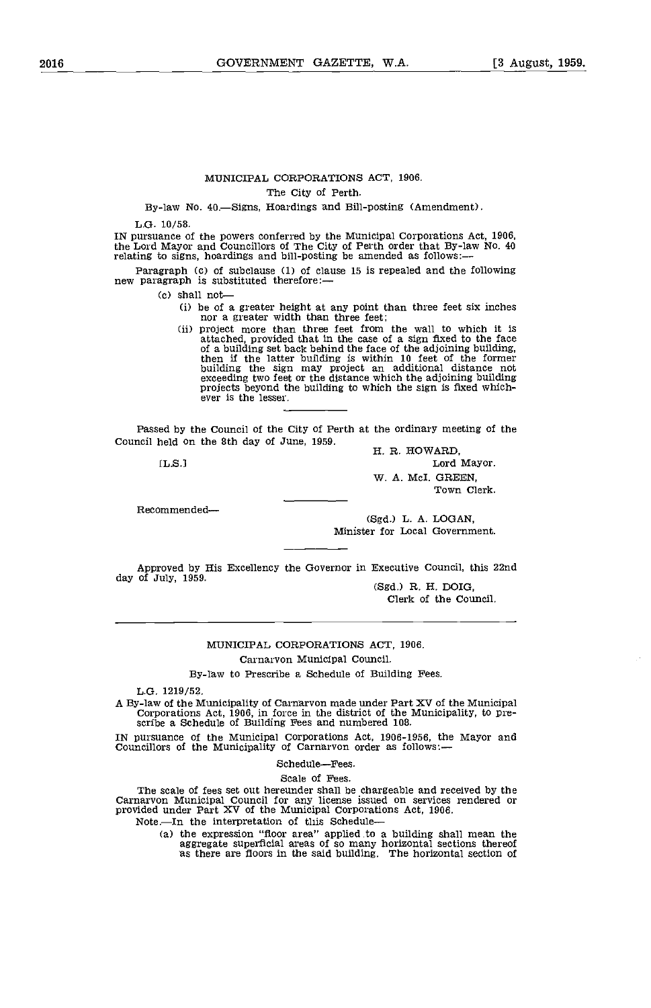### MUNICIPAL CORPORATIONS ACT, 1906.

The City of Perth.

By-law No. 40.-Signs, Hoardings and Bill-posting (Amendment).

L.G. 10/58.

IN pursuance of the powers conferred by the Municipal Corporations Act, 1906, the Lord Mayor and Councillors of The City of Perth order that By-law No. 40 relating to signs, hoardings and bill-posting be amended as follows:—

Paragraph (c) of subclause (1) of clause 15 is repealed and the following new paragraph is substituted therefore:—

- (c) shall not—<br>(i) be of a greater height at any point than three feet six inches
	- nor a greater width than three feet;<br>(ii) project more than three feet is<br>(ii) project more than three feet from the wall to which it is<br>attached, provided that in the case of a sign fixed to the face<br>of a building set bac

Passed by the Council of the City of Perth at the ordinary meeting of the Council held on the 8th day of June, 1959.<br>H. R. HOWARD,

 $[**L.S.**]$ 

Lord Mayor. W. A. McI. GREEN, Town Clerk.

Recommended

(Sgd.) L. A. LOGAN, Minister for Local Government.

Approved by His Excellency the Governor in Executive Council, this 22nd (Sgd.) R. H. DOIG,

Clerk of the Council.

#### MUNICIPAL CORPORATIONS ACT, 1906.

Carnarvon Municipal Council.

By-law to Prescribe a Schedule of Building Fees.

L.G. 1219/52.

A By-law of the Municipality of Carnarvon made under Part XV of the Municipal Corporations Act, 1906, in force in the district of the Municipality, to pre- scribe a Schedule of Building Fees and numbered 108.

IN pursuance of the Municipal Corporations Act, 1906-1956, the Mayor and Councillors of the Municipality of Carnarvon order as follows:-

Schedule-Fees.

Scale of Fees.

The scale of fees set out hereunder shall be chargeable and received by the Carnarvon Municipal Council for any license issued on services rendered or provided under Part XV of the Municipal Corporations Act, 1906.<br>Note.—I

(a) the expression "floor area" applied to a building shall mean the aggregate superficial areas of so many horizontal sections thereof as there are floors in the said building. The horizontal section of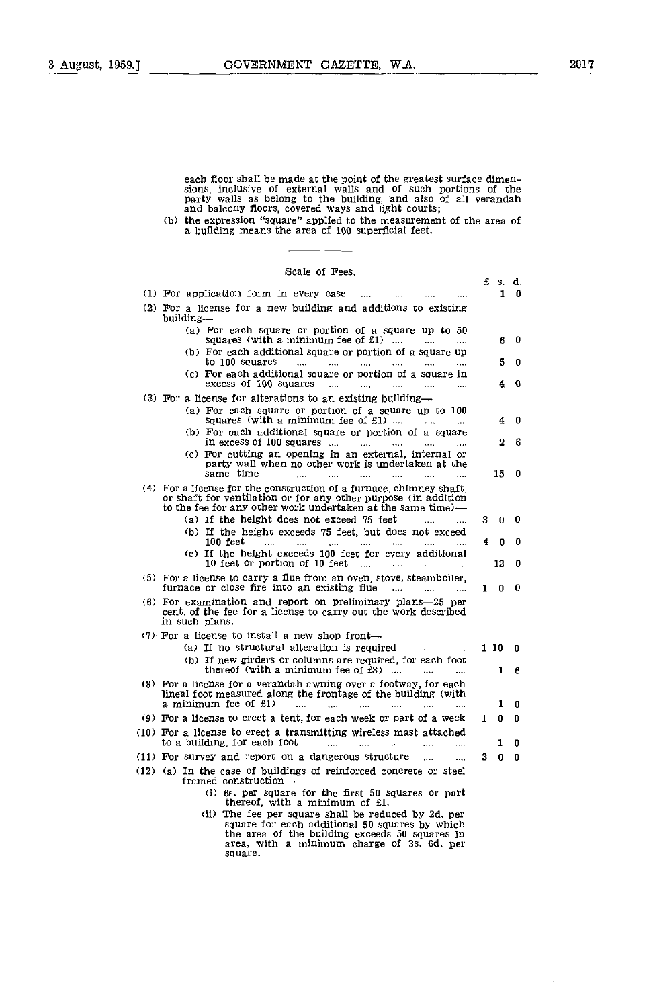each floor shall be made at the point of the greatest surface dimensions, inclusive of external walls and of such portions of the party walls as belong to the building, and also of all verandah and balcony floors, covered

(b) the expression "square" applied to the measurement of the area of a building means the area of 100 superficial feet.

| Scale of Fees.                                                                                                                                                                         |   |          |    |  |
|----------------------------------------------------------------------------------------------------------------------------------------------------------------------------------------|---|----------|----|--|
|                                                                                                                                                                                        | £ | s. d.    |    |  |
| (1) For application form in every case<br>$\cdots$                                                                                                                                     |   | 1        | 0  |  |
| (2) For a license for a new building and additions to existing<br>building—                                                                                                            |   |          |    |  |
| (a) For each square or portion of a square up to 50                                                                                                                                    |   |          |    |  |
| squares (with a minimum fee of $£1)$<br>$\ddotsc$                                                                                                                                      |   | 6        | 0  |  |
| (b) For each additional square or portion of a square up<br>to 100 squares<br>$\label{eq:1} \mathcal{L}_{\text{max}} = \mathcal{L}_{\text{max}}$<br><b><i>Channel</i></b><br>$\ddotsc$ |   | 5        | n  |  |
| (c) For each additional square or portion of a square in                                                                                                                               |   |          |    |  |
| excess of 100 squares<br>$\ddotsc$<br>$\sim$ 4444<br>$\ddotsc$<br>$\mathbf{1}$<br>$\overline{1}$                                                                                       |   | 4        | G. |  |
| (3) For a license for alterations to an existing building-                                                                                                                             |   |          |    |  |
| (a) For each square or portion of a square up to 100                                                                                                                                   |   |          |    |  |
| squares (with a minimum fee of £1)<br>(b) For each additional square or portion of a square                                                                                            |   | 4        | 0  |  |
| in excess of 100 squares $\dots$ $\dots$<br>$\cdots$                                                                                                                                   |   | 2        | 6  |  |
| (c) For cutting an opening in an external, internal or                                                                                                                                 |   |          |    |  |
| party wall when no other work is undertaken at the                                                                                                                                     |   |          |    |  |
| same time<br>1.111<br>$\sim$<br>$\ddotsc$<br>and a<br>$\cdots$                                                                                                                         |   | 15       | 0  |  |
| (4) For a license for the construction of a furnace, chimney shaft,<br>or shaft for ventilation or for any other purpose (in addition                                                  |   |          |    |  |
| to the fee for any other work undertaken at the same time)-                                                                                                                            |   |          |    |  |
| (a) If the height does not exceed 75 feet                                                                                                                                              | 3 | $\bf{0}$ | 0  |  |
| (b) If the height exceeds 75 feet, but does not exceed                                                                                                                                 |   |          |    |  |
| $100$ feet<br>$\ddotsc$<br>$\cdots$<br>(c) If the height exceeds 100 feet for every additional                                                                                         | 4 | $\bf{0}$ | 0  |  |
| 10 feet or portion of 10 feet $\ldots$<br>$\cdots$<br>$\ddotsc$                                                                                                                        |   | 12       | 0  |  |
| (5) For a license to carry a flue from an oven, stove, steamboiler,<br>furnace or close fire into an existing flue<br>$\ddotsc$                                                        | 1 | 0        | 0  |  |
| (6) For examination and report on preliminary plans-25 per<br>cent, of the fee for a license to carry out the work described                                                           |   |          |    |  |
| in such plans.                                                                                                                                                                         |   |          |    |  |
| (7) For a license to install a new shop front-                                                                                                                                         |   |          |    |  |
| (a) If no structural alteration is required                                                                                                                                            |   | 110      | 0  |  |
| (b) If new girders or columns are required, for each foot<br>thereof (with a minimum fee of $£3$ )                                                                                     |   | 1        | 6  |  |
| (8) For a license for a verandah awning over a footway, for each                                                                                                                       |   |          |    |  |
| lineal foot measured along the frontage of the building (with                                                                                                                          |   |          |    |  |
| a minimum fee of £1)<br>$\sim$<br><b>College</b><br>$\sim$                                                                                                                             |   | 1        | 0  |  |
| (9) For a license to erect a tent, for each week or part of a week                                                                                                                     | 1 | 0        | 0  |  |
| (10) For a license to erect a transmitting wireless mast attached<br>to a building, for each foot<br>$\cdots$<br>$\cdots$<br>                                                          |   | 1        | 0  |  |
| (11) For survey and report on a dangerous structure<br>.                                                                                                                               | 3 | 0        | 0  |  |
| (12) (a) In the case of buildings of reinforced concrete or steel<br>framed construction-                                                                                              |   |          |    |  |
| (i) 6s, per square for the first 50 squares or part                                                                                                                                    |   |          |    |  |
| thereof, with a minimum of £1.                                                                                                                                                         |   |          |    |  |
| (ii) The fee per square shall be reduced by 2d, per                                                                                                                                    |   |          |    |  |

The fee per square shall be reduced by 2d. per square for each additional 50 squares by which the area of the building exceeds 50 squares in area, with a minimum charge of Ss. 64. per square.